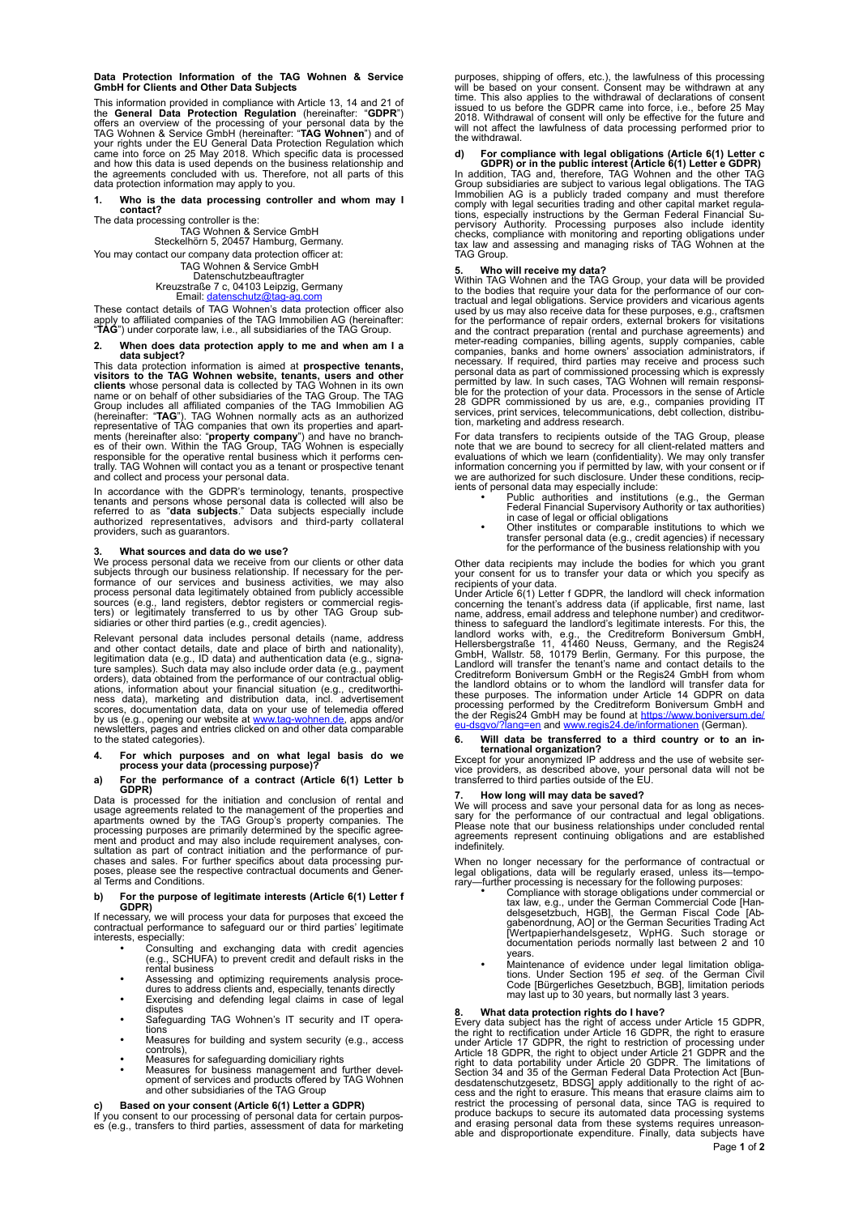**Data Protection Information of the TAG Wohnen & Service GmbH for Clients and Other Data Subjects** 

This information provided in compliance with Article 13, 14 and 21 of<br>the **General Data Protection Regulation** (hereinafter: "**GDPR**")<br>offers an overview of the processing of your personal data by the<br>TAG Wohnen & Service and how this data is used depends on the business relationship and the agreements concluded with us. Therefore, not all parts of this data protection information may apply to you.

## **1. Who is the data processing controller and whom may I contact?**

The data processing controller is the:

TAG Wohnen & Service GmbH Steckelhörn 5, 20457 Hamburg, Germany. You may contact our company data protection officer at:

# TAG Wohnen & Service GmbH Datenschutzbeauftragter

Kreuzstraße 7 c, 04103 Leipzig, Germany<br>Email: <u>datenschutz@tag-ag.com</u>

These contact details of TAG Wohnen's data protection officer also apply to affiliated companies of the TAG Immobilien AG (hereinafter: "**TAG**") under corporate law, i.e., all subsidiaries of the TAG Group.

## **2. When does data protection apply to me and when am I a**  data subject?<br>This data subject?<br>This data protection information is aimed at **prospective tenants**,

This data protection information is aimed at **prospective tenants,**<br>visitors to the TAG Wohnen website, tenants, users and other<br>clients whose personal data is collected by TAG Wohnen in its own<br>name or on behalf of other trally. TAG Wohnen will contact you as a tenant or prospective tenant and collect and process your personal data.

In accordance with the GDPR's terminology, tenants, prospective<br>tenants and persons whose personal data is collected will also be<br>referred to as "**data subjects**." Data subjects especially include<br>authorized representative providers, such as guarantors.

3. What sources and data do we use?<br>We process personal data do we use?<br>subjects through our business relationship. If necessary for the per-<br>formance of our services and business activities, we may also<br>process personal d

Relevant personal data includes personal details (name, address<br>and other contact details, date and place of birth and nationality),<br>legitimation data (e.g., ID data) and authentication data (e.g., signa-<br>ture samples). Su ness data), marketing and distribution data, incl. advertisement<br>scores, documentation data, data on your use of telemedia offered<br>by us (e.g., opening our website at <u>www.tag-wohnen.de</u>, apps and/or newsletters, pages and entries clicked on and other data comparable to the stated categories).

## **4. For which purposes and on what legal basis do we process your data (processing purpose)?**

**a) For the performance of a contract (Article 6(1) Letter b GDPR)** 

Data is processed for the initiation and conclusion of rental and usage agreements related to the management of the properties and apartments owned by the TAG Group's property companies. The<br>processing purposes are primarily determined by the specific agree-<br>ment and product and may also include requirement analyses, con-<br>sultation as part of contract al Terms and Conditions.

## **b) For the purpose of legitimate interests (Article 6(1) Letter f GDPR)**<br>If necessary.

If necessary, we will process your data for purposes that exceed the contractual performance to safeguard our or third parties' legitimate interests, especially:

- Consulting and exchanging data with credit agencies (e.g., SCHUFA) to prevent credit and default risks in the
- (e.g., SCHUFA) to prevent credit and default risks in the<br>rental business<br>Assessing and optimizing requirements analysis proce-
- Assessing and optimizing requirements analysis proce- dures to address clients and, especially, tenants directly Exercising and defending legal claims in case of legal disputes
- Safeguarding TAG Wohnen's IT security and IT operations
- Measures for building and system security (e.g., access controls),
- Measures for safeguarding domiciliary rights<br>• Measures for business management and further devel-<br>• Measures for business management and further develmeasured for subsidiaries and products offered by TAG Wohnen<br>and other subsidiaries of the TAG Group

**c) Based on your consent (Article 6(1) Letter a GDPR)**<br>If you consent to our processing of personal data for certain purpos-<br>es (e.g., transfers to third parties, assessment of data for marketing

purposes, shipping of offers, etc.), the lawfulness of this processing<br>will be based on your consent. Consent may be withdrawn at any<br>time. This also applies to the withdrawal of declarations of consent<br>issued to us before will not affect the lawfulness of data processing performed prior to the withdrawal.

## **d) For compliance with legal obligations (Article 6(1) Letter c**

**GDPR) or in the public interest (Article 6(1) Letter e GDPR)**<br>In addition, TAG and, therefore, TAG Wohnen and the other TAG<br>Group subsidiaries are subject to various legal obligations. The TAG Immobilien AG is a publicly traded company and must therefore<br>comply with legal securities trading and other capital market regula-<br>tions, especially instructions by the German Federal Financial Supervisory Authority. Processing purposes also include identity checks, compliance with monitoring and reporting obligations under tax law and assessing and managing risks of TAG Wohnen at the TAG Group.

5. Who will receive my data?<br>Within TAG Wohnen and the TAG Group, your data will be provided<br>to the bodies that require your data for the performance of our con-<br>tractual and legal obligations. Service providers and vicari used by us may also receive data for these purposes, e.g., craftsmen for the performance of repair orders, external brokers for visitations and the contract preparation (rental and purchase agreements) and<br>meter-reading companies, billing agents, supply companies, cable<br>companies, banks and home owners' association administrators, if<br>necessary. If required, th personal data as part of commissioned processing which is expressly<br>permitted by law. In such cases, TAG Wohnen will remain responsi-<br>ble for the protection of your data. Processors in the sense of Article<br>28 GDPR commissi

For data transfers to recipients outside of the TAG Group, please<br>note that we are bound to secrecy for all client-related matters and<br>evaluations of which we learn (confidentiality). We may only transfer<br>information conce

- Public authorities and institutions (e.g., the German Federal Financial Supervisory Authority or tax authorities) in case of legal or official obligations
- Other institutes or comparable institutions to which we transfer personal data (e.g., credit agencies) if necessary for the performance of the business relationship with you

Other data recipients may include the bodies for which you grant your consent for us to transfer your data or which you specify as recipients of your data.

Under Article 6(1) Letter f GDPR, the landlord will check information concerning the tenant's address data (if applicable, first name, last<br>name, address, email address and telephone number) and creditwor-<br>thiness to safeguard the landlord's legitimate interests. For this, the landlord works with, e.g., the Creditreform Boniversum GmbH,<br>Hellersbergstraße 11, 41460 Neuss, Germany, and the Regis24<br>GmbH, Wallstr. 58, 10179 Berlin, Germany. For this purpose, the<br>Landlord will transfer the tenant's n these purposes. The information under Article 14 GDPR on data<br>processing performed by the Creditreform Boniversum GmbH and<br>the der Regis24 GmbH may be found at [https://www.boniversum.de/](https://www.boniversum.de/eu-dsgvo/?lang=en)<br>[eu-dsgvo/?lang=en](https://www.boniversum.de/eu-dsgvo/?lang=en) and www.regis24.d

# **6. Will data be transferred to a third country or to an in-ternational organization?**

Except for your anonymized IP address and the use of website ser-vice providers, as described above, your personal data will not be transferred to third parties outside of the EU.

7. How long will may data be saved?<br>We will process and save your personal data for as long as neces-<br>sary for the performance of our contractual and legal obligations.<br>Please note that our business relationships under con indefinitely.

When no longer necessary for the performance of contractual or legal obligations, data will be regularly erased, unless its—tempo-rary—further processing is necessary for the following purposes: • Compliance with storage obligations under commercial or

- tax law, e.g., under the German Commercial Code [Han-<br>delsgesetzbuch, HGB], the German Fiscal Code [Ab-<br>gabenordnung, AO] or the German Securities Trading Act<br>[Wertpapierhandelsgesetz, WpHG. Such storage or<br>documentation p years.
- Maintenance of evidence under legal limitation obliga-tions. Under Section 195 *et seq*. of the German Civil Code [Bürgerliches Gesetzbuch, BGB], limitation periods may last up to 30 years, but normally last 3 years

## **8. What data protection rights do I have?**

Every data subject has the right of access under Article 15 GDPR,<br>the right to rectification under Article 16 GDPR, the right to erasure<br>under Article 17 GDPR, the right to restriction of processing under<br>Article 18 GDPR, right to data portability under Article 20 GDPR. The limitations of<br>Section 34 and 35 of the German Federal Data Protection Act [Bundesdatenschutzgesetz, BDSG] apply additionally to the right of ac-<br>cess and the right to e and erasing personal data from these systems requires unreason-able and disproportionate expenditure. Finally, data subjects have